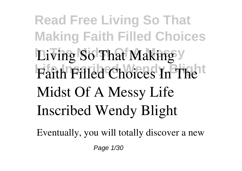**Read Free Living So That Making Faith Filled Choices Living So That Making** Faith Filled Choices In The<sup>tt</sup> **Midst Of A Messy Life Inscribed Wendy Blight**

Eventually, you will totally discover a new

Page 1/30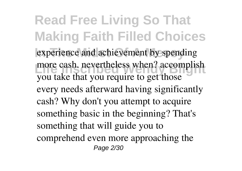**Read Free Living So That Making Faith Filled Choices** experience and achievement by spending more cash. nevertheless when? accomplish you take that you require to get those every needs afterward having significantly cash? Why don't you attempt to acquire something basic in the beginning? That's something that will guide you to comprehend even more approaching the Page 2/30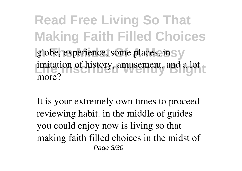**Read Free Living So That Making Faith Filled Choices** globe, experience, some places, in Sy imitation of history, amusement, and a lot more?

It is your extremely own times to proceed reviewing habit. in the middle of guides you could enjoy now is **living so that making faith filled choices in the midst of** Page 3/30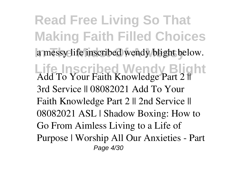**Read Free Living So That Making Faith Filled Choices In The Midst Of A Messy a messy life inscribed wendy blight** below. **Life Inscribed Wendy Blight** Add To Your Faith Knowledge Part 2 || 3rd Service || 08082021 *Add To Your Faith Knowledge Part 2 || 2nd Service || 08082021* **ASL | Shadow Boxing: How to Go From Aimless Living to a Life of Purpose | Worship** *All Our Anxieties - Part* Page 4/30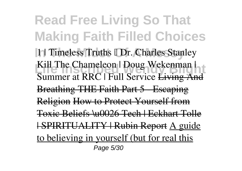**Read Free Living So That Making Faith Filled Choices 11 Timeless Truths I Dr. Charles Stanley Kill The Chameleon | Doug Wekenman | Summer at RRC | Full Service Living And** Breathing THE Faith Part 5 Escaping Religion How to Protect Yourself from Toxic Beliefs \u0026 Tech | Eckhart Tolle | SPIRITUALITY | Rubin Report A guide to believing in yourself (but for real this Page 5/30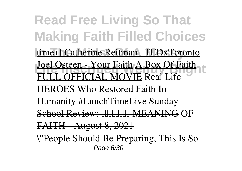**Read Free Living So That Making Faith Filled Choices** time) | Catherine Reitman | TEDxToronto **<u>Joel Osteen - Your Faith A Box Of Faith</u> 1<sup>t</sup>** FULL OFFICIAL MOVIE *Real Life HEROES Who Restored Faith In Humanity* #LunchTimeLive Sunday School Review: **MMMMMM MEANING** OF FAITH - August 8, 2021 \"People Should Be Preparing, This Is So Page 6/30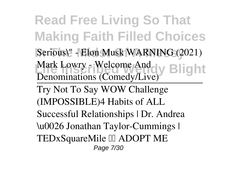**Read Free Living So That Making Faith Filled Choices** Serious\" - Elon Musk WARNING (2021) Mark Lowry - Welcome And<br> **Example 2 Denominations (Comedy/Live)**

Try Not To Say WOW Challenge (IMPOSSIBLE)*4 Habits of ALL Successful Relationships | Dr. Andrea \u0026 Jonathan Taylor-Cummings | TEDxSquareMile* ADOPT ME Page 7/30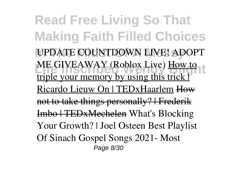**Read Free Living So That Making Faith Filled Choices In The Midst Of A Messy** UPDATE COUNTDOWN LIVE! ADOPT **Life Instrumental Wendy Archives** triple your memory by using this trick | Ricardo Lieuw On | TEDxHaarlem How not to take things personally? | Frederik Imbo | TEDxMechelen *What's Blocking Your Growth? | Joel Osteen Best Playlist Of Sinach Gospel Songs 2021- Most* Page 8/30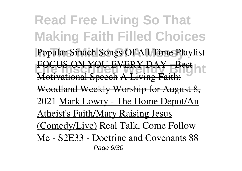**Read Free Living So That Making Faith Filled Choices** Popular Sinach Songs Of All Time Playlist **FOCUS ON YOU EVERY DAY - Best** Motivational Speech A Living Fait Woodland Weekly Worship for August 8, 2021 Mark Lowry - The Home Depot/An Atheist's Faith/Mary Raising Jesus (Comedy/Live) **Real Talk, Come Follow Me - S2E33 - Doctrine and Covenants 88** Page 9/30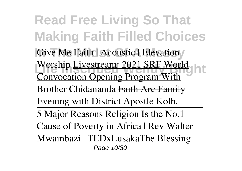**Read Free Living So That Making Faith Filled Choices** Give Me Faith | Acoustic | Elevation **Livestream: 2021 SRF World** Convocation Opening Program With Brother Chidananda Faith Arc Family Evening with District Apostle Kolb. 5 Major Reasons Religion Is the No.1 Cause of Poverty in Africa | Rev Walter Mwambazi | TEDxLusaka*The Blessing* Page 10/30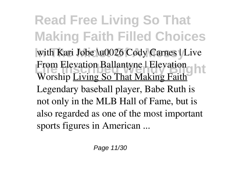**Read Free Living So That Making Faith Filled Choices In The Midst Of A Messy** *with Kari Jobe \u0026 Cody Carnes | Live* **Life Instruction Ballantyne | Elevation** *Worship* Living So That Making Faith Legendary baseball player, Babe Ruth is not only in the MLB Hall of Fame, but is also regarded as one of the most important sports figures in American ...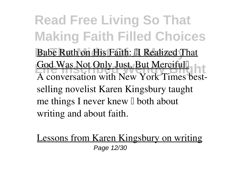**Read Free Living So That Making Faith Filled Choices Babe Ruth on His Faith: II Realized That Life Was Not Unity Just. But Mercifull** God Was Not Only Just, But Merciful' A conversation with New York Times bestselling novelist Karen Kingsbury taught me things I never knew  $\Box$  both about writing and about faith.

Lessons from Karen Kingsbury on writing Page 12/30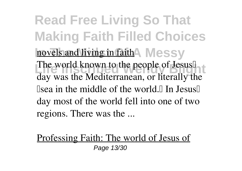**Read Free Living So That Making Faith Filled Choices** novels and living in faith<sup>4</sup> Messy The world known to the people of Jesus<sup>1</sup> day was the Mediterranean, or literally the  $\Box$  sea in the middle of the world. $\Box$  In Jesus  $\Box$ day most of the world fell into one of two regions. There was the ...

Professing Faith: The world of Jesus of Page 13/30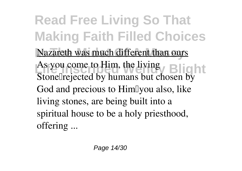**Read Free Living So That Making Faith Filled Choices** Nazareth was much different than ours As you come to Him, the living<br>
State Parties 11 hours and the living Stonellrejected by humans but chosen by God and precious to HimIyou also, like living stones, are being built into a spiritual house to be a holy priesthood, offering ...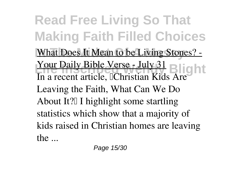**Read Free Living So That Making Faith Filled Choices** What Does It Mean to be Living Stones? -Your Daily Bible Verse - July 31 Blight In a recent article, <sup>[Christian Kids Are]</sup> Leaving the Faith, What Can We Do About It? I highlight some startling statistics which show that a majority of kids raised in Christian homes are leaving the ...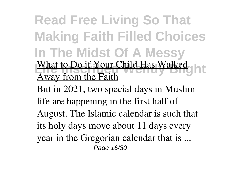**Read Free Living So That Making Faith Filled Choices In The Midst Of A Messy** What to Do if Your Child Has Walked Away from the Faith

But in 2021, two special days in Muslim life are happening in the first half of August. The Islamic calendar is such that its holy days move about 11 days every year in the Gregorian calendar that is ... Page 16/30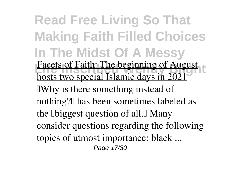**Read Free Living So That Making Faith Filled Choices In The Midst Of A Messy** Facets of Faith: The beginning of August hosts two special Islamic days in 2021 **TWhy** is there something instead of nothing? I has been sometimes labeled as the **D**biggest question of all. Many consider questions regarding the following topics of utmost importance: black ... Page 17/30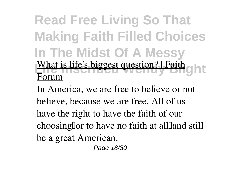## **Read Free Living So That Making Faith Filled Choices In The Midst Of A Messy** What is life's biggest question? | Faith g h t Forum

In America, we are free to believe or not believe, because we are free. All of us have the right to have the faith of our choosing for to have no faith at all and still be a great American.

Page 18/30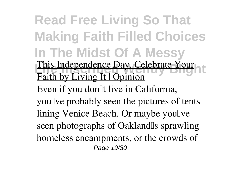**Read Free Living So That Making Faith Filled Choices In The Midst Of A Messy** This Independence Day, Celebrate Your Faith by Living It | Opinion Even if you don<sup>[1]</sup> live in California, you'lve probably seen the pictures of tents lining Venice Beach. Or maybe yoully seen photographs of Oakland<sup>'</sup>s sprawling homeless encampments, or the crowds of Page 19/30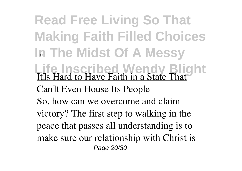**Read Free Living So That Making Faith Filled Choices In The Midst Of A Messy** ... **Life Inscribed Wendy Blight** It<sup>[</sup>s Hard to Have Faith in a State That Can<sup>II</sup>t Even House Its People So, how can we overcome and claim victory? The first step to walking in the peace that passes all understanding is to make sure our relationship with Christ is Page 20/30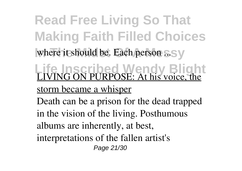**Read Free Living So That Making Faith Filled Choices** where it should be. Each person ...Sy

**Life Inscribed Wendy Blight** LIVING ON PURPOSE: At his voice, the

storm became a whisper

Death can be a prison for the dead trapped in the vision of the living. Posthumous albums are inherently, at best, interpretations of the fallen artist's Page 21/30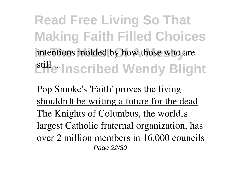**Read Free Living So That Making Faith Filled Choices** intentions molded by how those who are **Lille Inscribed Wendy Blight** 

Pop Smoke's 'Faith' proves the living shouldn<sup>IIt</sup> be writing a future for the dead The Knights of Columbus, the world<sup>[1]</sup>s largest Catholic fraternal organization, has over 2 million members in 16,000 councils Page 22/30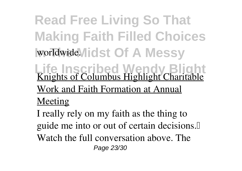**Read Free Living So That Making Faith Filled Choices** worldwide. I dst Of A Messy

**Life Inscribed Wendy Blight** Knights of Columbus Highlight Charitable

Work and Faith Formation at Annual

Meeting

I really rely on my faith as the thing to guide me into or out of certain decisions.<sup>[]</sup> Watch the full conversation above. The Page 23/30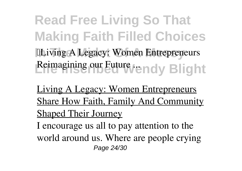**Read Free Living So That Making Faith Filled Choices In The Midst Of A Messy** 'Living A Legacy: Women Entrepreneurs Reimagining our Future / endy Blight

Living A Legacy: Women Entrepreneurs Share How Faith, Family And Community Shaped Their Journey I encourage us all to pay attention to the world around us. Where are people crying Page 24/30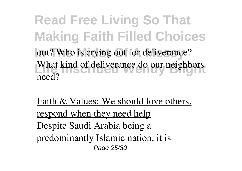**Read Free Living So That Making Faith Filled Choices** out? Who is crying out for deliverance? What kind of deliverance do our neighbors need?

Faith & Values: We should love others, respond when they need help Despite Saudi Arabia being a predominantly Islamic nation, it is Page 25/30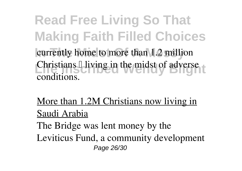**Read Free Living So That Making Faith Filled Choices** currently home to more than 1.2 million **Christians I living in the midst of adverse** conditions.

More than 1.2M Christians now living in Saudi Arabia

The Bridge was lent money by the Leviticus Fund, a community development Page 26/30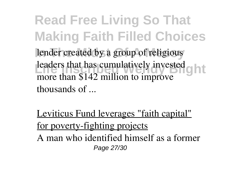**Read Free Living So That Making Faith Filled Choices** lender created by a group of religious leaders that has cumulatively invested on the hast of the hast of the hast of the hast of the hast of the hast of the hast of the hast of the hast of the hast of the hast of the hast of the hast of the hast of the hast of more than \$142 million to improve thousands of ...

Leviticus Fund leverages "faith capital" for poverty-fighting projects A man who identified himself as a former

Page 27/30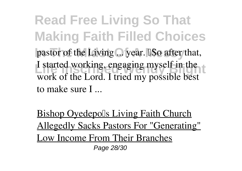**Read Free Living So That Making Faith Filled Choices** pastor of the Living ... year. **ISo after that**, I started working, engaging myself in the work of the Lord. I tried my possible best to make sure I ...

Bishop Oyedepolls Living Faith Church Allegedly Sacks Pastors For "Generating" Low Income From Their Branches Page 28/30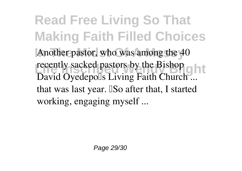**Read Free Living So That Making Faith Filled Choices** Another pastor, who was among the 40 **Life Inscript Install Section** Bishop David Oyedepolls Living Faith Church ... that was last year. ISo after that, I started working, engaging myself ...